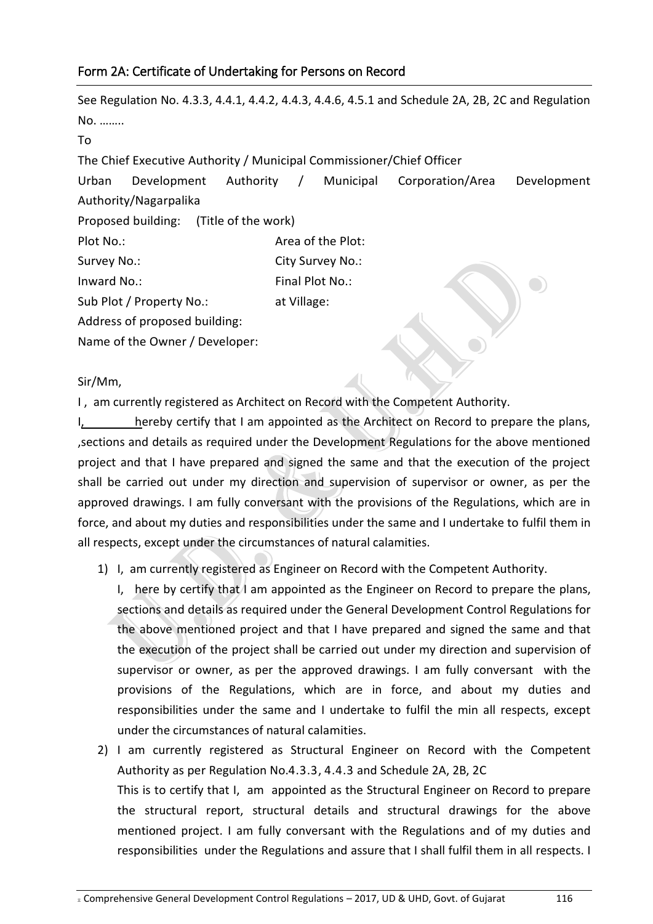## Form 2A: Certificate of Undertaking for Persons on Record

See Regulation No. 4.3.3, 4.4.1, 4.4.2, 4.4.3, 4.4.6, 4.5.1 and Schedule 2A, 2B, 2C and Regulation No. …….. To The Chief Executive Authority / Municipal Commissioner/Chief Officer Urban Development Authority / Municipal Corporation/Area Development Authority/Nagarpalika Proposed building: (Title of the work) Plot No.: **Area of the Plot:** Survey No.: City Survey No.: Inward No.: Final Plot No.: Sub Plot / Property No.: at Village: Address of proposed building: Name of the Owner / Developer:

Sir/Mm,

I , am currently registered as Architect on Record with the Competent Authority.

I, hereby certify that I am appointed as the Architect on Record to prepare the plans, ,sections and details as required under the Development Regulations for the above mentioned project and that I have prepared and signed the same and that the execution of the project shall be carried out under my direction and supervision of supervisor or owner, as per the approved drawings. I am fully conversant with the provisions of the Regulations, which are in force, and about my duties and responsibilities under the same and I undertake to fulfil them in all respects, except under the circumstances of natural calamities.

1) I, am currently registered as Engineer on Record with the Competent Authority.

I, here by certify that I am appointed as the Engineer on Record to prepare the plans, sections and details as required under the General Development Control Regulations for the above mentioned project and that I have prepared and signed the same and that the execution of the project shall be carried out under my direction and supervision of supervisor or owner, as per the approved drawings. I am fully conversant with the provisions of the Regulations, which are in force, and about my duties and responsibilities under the same and I undertake to fulfil the min all respects, except under the circumstances of natural calamities.

2) I am currently registered as Structural Engineer on Record with the Competent Authority as per Regulation No.4.3.3, 4.4.3 and Schedule 2A, 2B, 2C This is to certify that I, am appointed as the Structural Engineer on Record to prepare the structural report, structural details and structural drawings for the above mentioned project. I am fully conversant with the Regulations and of my duties and responsibilities under the Regulations and assure that I shall fulfil them in all respects. I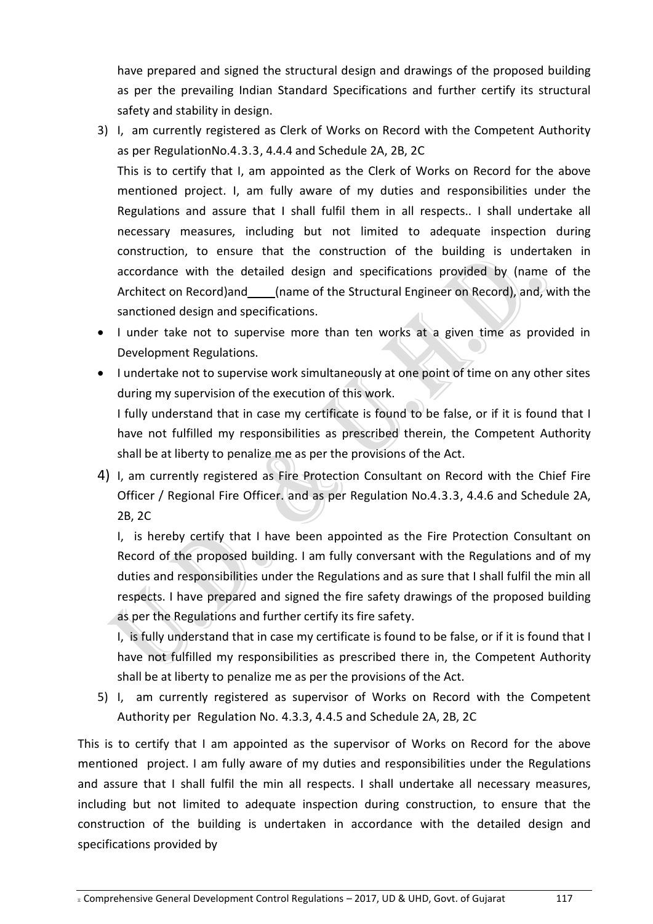have prepared and signed the structural design and drawings of the proposed building as per the prevailing Indian Standard Specifications and further certify its structural safety and stability in design.

- 3) I, am currently registered as Clerk of Works on Record with the Competent Authority as per RegulationNo.4.3.3, 4.4.4 and Schedule 2A, 2B, 2C This is to certify that I, am appointed as the Clerk of Works on Record for the above mentioned project. I, am fully aware of my duties and responsibilities under the Regulations and assure that I shall fulfil them in all respects.. I shall undertake all necessary measures, including but not limited to adequate inspection during construction, to ensure that the construction of the building is undertaken in accordance with the detailed design and specifications provided by (name of the Architect on Record)and \_\_\_\_\_(name of the Structural Engineer on Record), and, with the sanctioned design and specifications.
- I under take not to supervise more than ten works at a given time as provided in Development Regulations.
- I undertake not to supervise work simultaneously at one point of time on any other sites during my supervision of the execution of this work.

I fully understand that in case my certificate is found to be false, or if it is found that I have not fulfilled my responsibilities as prescribed therein, the Competent Authority shall be at liberty to penalize me as per the provisions of the Act.

4) I, am currently registered as Fire Protection Consultant on Record with the Chief Fire Officer / Regional Fire Officer. and as per Regulation No.4.3.3, 4.4.6 and Schedule 2A, 2B, 2C

I, is hereby certify that I have been appointed as the Fire Protection Consultant on Record of the proposed building. I am fully conversant with the Regulations and of my duties and responsibilities under the Regulations and as sure that I shall fulfil the min all respects. I have prepared and signed the fire safety drawings of the proposed building as per the Regulations and further certify its fire safety.

I, is fully understand that in case my certificate is found to be false, or if it is found that I have not fulfilled my responsibilities as prescribed there in, the Competent Authority shall be at liberty to penalize me as per the provisions of the Act.

5) I, am currently registered as supervisor of Works on Record with the Competent Authority per Regulation No. 4.3.3, 4.4.5 and Schedule 2A, 2B, 2C

This is to certify that I am appointed as the supervisor of Works on Record for the above mentioned project. I am fully aware of my duties and responsibilities under the Regulations and assure that I shall fulfil the min all respects. I shall undertake all necessary measures, including but not limited to adequate inspection during construction, to ensure that the construction of the building is undertaken in accordance with the detailed design and specifications provided by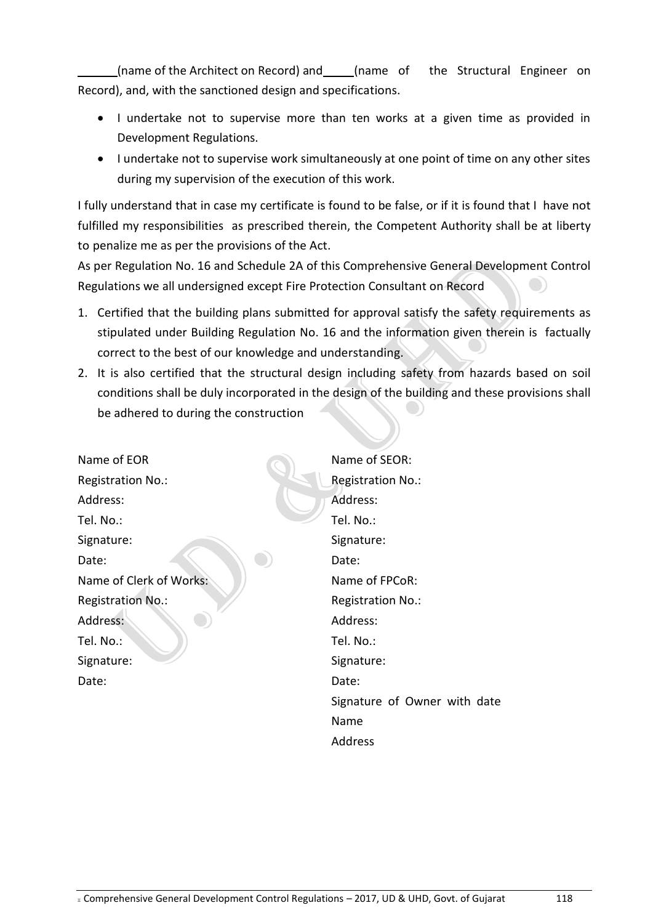(name of the Architect on Record) and\_\_\_\_\_(name of the Structural Engineer on Record), and, with the sanctioned design and specifications.

- I undertake not to supervise more than ten works at a given time as provided in Development Regulations.
- I undertake not to supervise work simultaneously at one point of time on any other sites during my supervision of the execution of this work.

I fully understand that in case my certificate is found to be false, or if it is found that I have not fulfilled my responsibilities as prescribed therein, the Competent Authority shall be at liberty to penalize me as per the provisions of the Act.

As per Regulation No. 16 and Schedule 2A of this Comprehensive General Development Control Regulations we all undersigned except Fire Protection Consultant on Record

- 1. Certified that the building plans submitted for approval satisfy the safety requirements as stipulated under Building Regulation No. 16 and the information given therein is factually correct to the best of our knowledge and understanding.
- 2. It is also certified that the structural design including safety from hazards based on soil conditions shall be duly incorporated in the design of the building and these provisions shall be adhered to during the construction

Name of EOR Registration No.: Address: Tel. No.: Signature: Date: Name of SEOR: Registration No.: Address: Tel. No.: Signature: Date: Name of Clerk of Works: Registration No.: Address: Tel. No.: Signature: Date: Name of FPCoR: Registration No.: Address: Tel. No.: Signature: Date: Signature of Owner with date Name

Address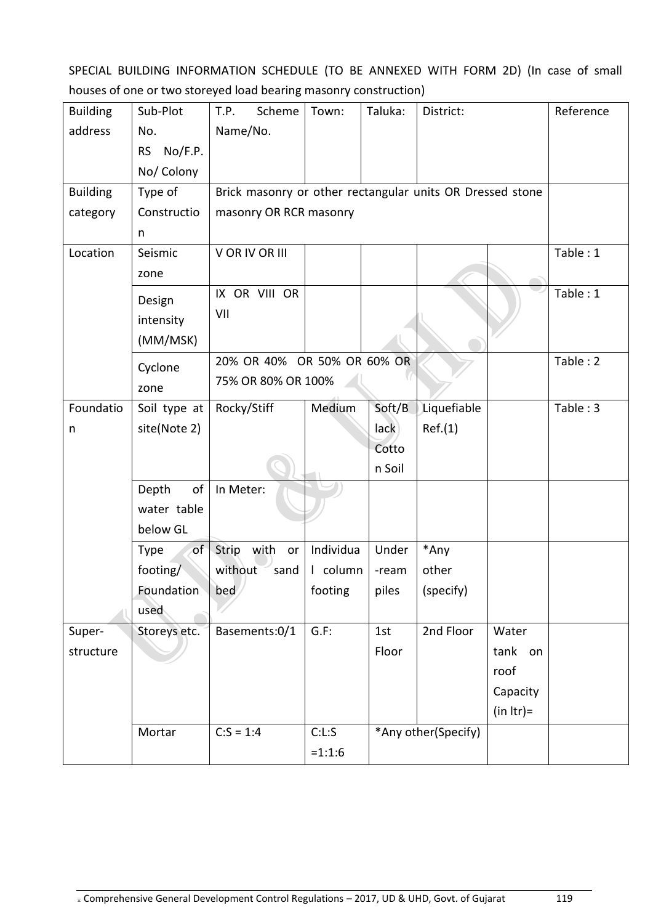SPECIAL BUILDING INFORMATION SCHEDULE (TO BE ANNEXED WITH FORM 2D) (In case of small houses of one or two storeyed load bearing masonry construction)

| <b>Building</b> | Sub-Plot             | Scheme<br>T.P.                                            | Town:              | Taluka:             | District:   |              | Reference |  |  |
|-----------------|----------------------|-----------------------------------------------------------|--------------------|---------------------|-------------|--------------|-----------|--|--|
| address         | No.                  | Name/No.                                                  |                    |                     |             |              |           |  |  |
|                 | No/F.P.<br><b>RS</b> |                                                           |                    |                     |             |              |           |  |  |
|                 | No/ Colony           |                                                           |                    |                     |             |              |           |  |  |
| <b>Building</b> | Type of              | Brick masonry or other rectangular units OR Dressed stone |                    |                     |             |              |           |  |  |
| category        | Constructio          | masonry OR RCR masonry                                    |                    |                     |             |              |           |  |  |
|                 | n                    |                                                           |                    |                     |             |              |           |  |  |
| Location        | Seismic              | V OR IV OR III                                            |                    |                     |             |              | Table: 1  |  |  |
|                 | zone                 |                                                           |                    |                     |             |              |           |  |  |
|                 | Design               | IX OR VIII OR                                             |                    |                     |             |              | Table: 1  |  |  |
|                 | intensity            | VII                                                       |                    |                     |             |              |           |  |  |
|                 | (MM/MSK)             |                                                           |                    |                     |             |              |           |  |  |
|                 | Cyclone              | 20% OR 40% OR 50% OR 60% OR                               |                    |                     |             | Table: 2     |           |  |  |
|                 | zone                 |                                                           | 75% OR 80% OR 100% |                     |             |              |           |  |  |
| Foundatio       | Soil type at         | Rocky/Stiff                                               | Medium             | Soft/B              | Liquefiable |              | Table: 3  |  |  |
| n               | site(Note 2)         |                                                           |                    | lack                | Ref.(1)     |              |           |  |  |
|                 |                      |                                                           |                    | Cotto               |             |              |           |  |  |
|                 |                      |                                                           |                    | n Soil              |             |              |           |  |  |
|                 | Depth<br>оf          | In Meter:                                                 |                    |                     |             |              |           |  |  |
|                 | water table          |                                                           |                    |                     |             |              |           |  |  |
|                 | below GL             |                                                           |                    |                     |             |              |           |  |  |
|                 | Type<br>of           | Strip with<br>or                                          | Individua          | Under               | *Any        |              |           |  |  |
|                 | footing $\sqrt{\ }$  | without<br>sand                                           | I column           | -ream               | other       |              |           |  |  |
|                 | Foundation           | $ $ bed                                                   | footing            | piles               | (specify)   |              |           |  |  |
|                 | used                 |                                                           |                    |                     |             |              |           |  |  |
| Super-          | Storeys etc.         | Basements:0/1                                             | $G.F$ :            | 1st                 | 2nd Floor   | Water        |           |  |  |
| structure       |                      |                                                           |                    | Floor               |             | tank on      |           |  |  |
|                 |                      |                                                           |                    |                     |             | roof         |           |  |  |
|                 |                      |                                                           |                    |                     |             | Capacity     |           |  |  |
|                 |                      |                                                           |                    |                     |             | $(in Itr) =$ |           |  |  |
|                 | Mortar               | $C:S = 1:4$                                               | C: L: S            | *Any other(Specify) |             |              |           |  |  |
|                 |                      |                                                           | $=1:1:6$           |                     |             |              |           |  |  |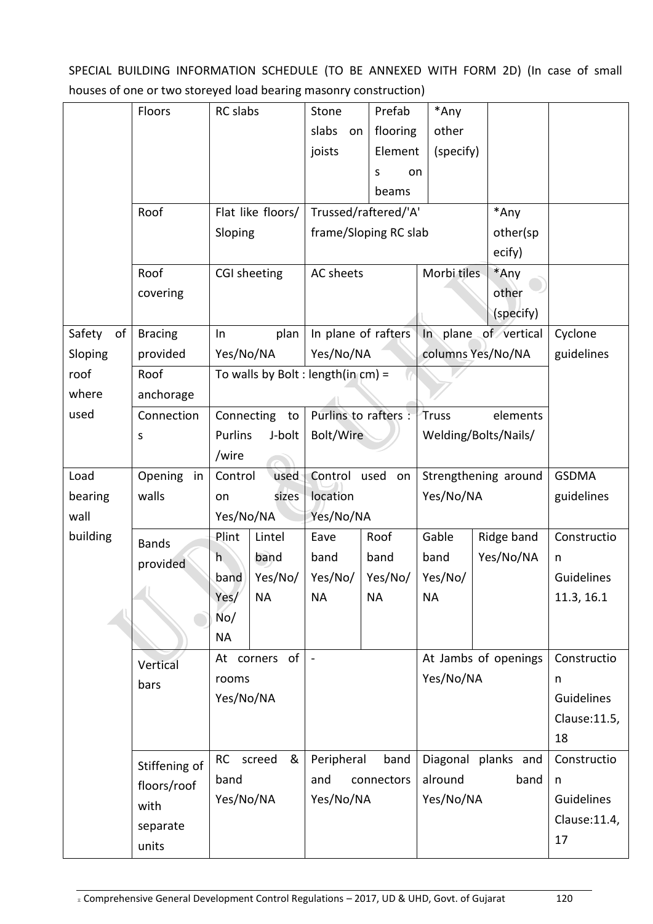SPECIAL BUILDING INFORMATION SCHEDULE (TO BE ANNEXED WITH FORM 2D) (In case of small houses of one or two storeyed load bearing masonry construction)

|              | Floors                        | RC slabs                                |                                       | Stone                                 | Prefab               | *Any                 |            |                   |
|--------------|-------------------------------|-----------------------------------------|---------------------------------------|---------------------------------------|----------------------|----------------------|------------|-------------------|
|              |                               |                                         |                                       | slabs<br>on                           | flooring             | other                |            |                   |
|              |                               |                                         |                                       | joists                                | Element              | (specify)            |            |                   |
|              |                               |                                         |                                       |                                       | S<br>on              |                      |            |                   |
|              |                               |                                         |                                       |                                       | beams                |                      |            |                   |
|              | Roof                          |                                         | Flat like floors/                     |                                       | Trussed/raftered/'A' |                      | *Any       |                   |
|              |                               | Sloping                                 |                                       | frame/Sloping RC slab                 |                      | other(sp             |            |                   |
|              |                               |                                         |                                       |                                       |                      | ecify)               |            |                   |
|              | Roof                          |                                         | <b>CGI sheeting</b>                   | AC sheets                             |                      | Morbi tiles          | *Any       |                   |
|              | covering                      |                                         |                                       |                                       |                      |                      | other      |                   |
|              |                               |                                         |                                       |                                       |                      |                      | (specify)  |                   |
| Safety<br>of | <b>Bracing</b>                | plan<br>In                              |                                       | In plane of rafters                   |                      | In plane of vertical |            | Cyclone           |
| Sloping      | provided                      | Yes/No/NA                               |                                       | Yes/No/NA                             |                      | columns Yes/No/NA    |            | guidelines        |
| roof         | Roof                          |                                         |                                       | To walls by Bolt : length(in $cm$ ) = |                      |                      |            |                   |
| where        | anchorage                     |                                         |                                       |                                       |                      |                      |            |                   |
| used         | Connection                    |                                         | Purlins to rafters :<br>Connecting to |                                       | elements<br>Truss    |                      |            |                   |
|              | S                             | Purlins                                 | J-bolt                                | Bolt/Wire                             |                      | Welding/Bolts/Nails/ |            |                   |
|              |                               | /wire                                   |                                       |                                       |                      |                      |            |                   |
| Load         | Opening<br>in                 | Control<br>used                         |                                       | Control<br>used on                    |                      | Strengthening around |            | <b>GSDMA</b>      |
| bearing      | walls                         | sizes<br>on                             |                                       | location                              |                      | Yes/No/NA            |            | guidelines        |
| wall         |                               | Yes/No/NA                               |                                       | Yes/No/NA                             |                      |                      |            |                   |
| building     | <b>Bands</b>                  | Plint                                   | Lintel                                | Eave                                  | Roof                 | Gable                | Ridge band | Constructio       |
|              | provided                      | h                                       | band                                  | band                                  | band                 | band                 | Yes/No/NA  | n                 |
|              |                               | band                                    | Yes/No/                               | Yes/No/                               | Yes/No/              | Yes/No/              |            | Guidelines        |
|              |                               | Yes/                                    | NА                                    | NА                                    | NА                   | NА                   |            | 11.3, 16.1        |
|              |                               | No/                                     |                                       |                                       |                      |                      |            |                   |
|              |                               | <b>NA</b>                               |                                       |                                       |                      |                      |            |                   |
|              | Vertical                      |                                         | of<br>At corners                      | $\sim$                                |                      | At Jambs of openings |            | Constructio       |
|              | bars                          | rooms<br>Yes/No/NA                      |                                       |                                       |                      | Yes/No/NA            |            | n                 |
|              |                               |                                         |                                       |                                       |                      |                      |            | <b>Guidelines</b> |
|              |                               |                                         |                                       |                                       |                      |                      |            | Clause: 11.5,     |
|              |                               |                                         |                                       |                                       |                      |                      |            | 18                |
|              | RC<br>screed<br>Stiffening of |                                         | &                                     | Peripheral<br>band                    |                      | Diagonal planks and  |            | Constructio       |
|              |                               | band<br>and<br>floors/roof<br>Yes/No/NA |                                       | connectors                            |                      | alround<br>band      |            | n                 |
|              | with                          |                                         |                                       | Yes/No/NA                             |                      | Yes/No/NA            |            | <b>Guidelines</b> |
|              |                               |                                         |                                       |                                       |                      |                      |            | Clause:11.4,      |
|              | separate<br>units             |                                         |                                       |                                       |                      |                      |            | 17                |
|              |                               |                                         |                                       |                                       |                      |                      |            |                   |